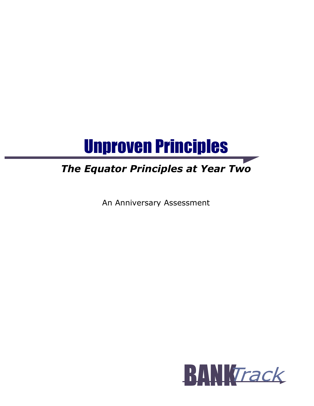

## The Equator Principles at Year Two

An Anniversary Assessment

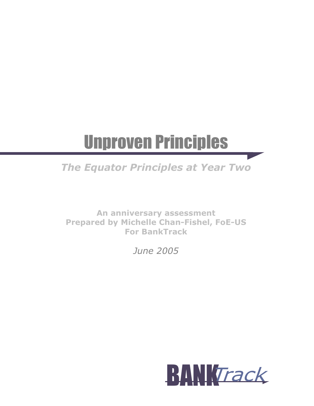# Unproven Principles

## The Equator Principles at Year Two

An anniversary assessment Prepared by Michelle Chan-Fishel, FoE-US For BankTrack

June 2005

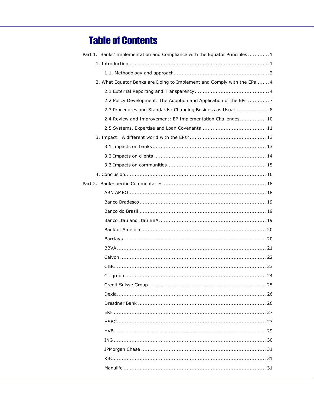## **Table of Contents**

| Part 1. Banks' Implementation and Compliance with the Equator Principles  1 |  |  |  |
|-----------------------------------------------------------------------------|--|--|--|
|                                                                             |  |  |  |
|                                                                             |  |  |  |
| 2. What Equator Banks are Doing to Implement and Comply with the EPs 4      |  |  |  |
|                                                                             |  |  |  |
| 2.2 Policy Development: The Adoption and Application of the EPs  7          |  |  |  |
| 2.3 Procedures and Standards: Changing Business as Usual 8                  |  |  |  |
| 2.4 Review and Improvement: EP Implementation Challenges 10                 |  |  |  |
|                                                                             |  |  |  |
|                                                                             |  |  |  |
|                                                                             |  |  |  |
|                                                                             |  |  |  |
|                                                                             |  |  |  |
|                                                                             |  |  |  |
|                                                                             |  |  |  |
|                                                                             |  |  |  |
|                                                                             |  |  |  |
|                                                                             |  |  |  |
|                                                                             |  |  |  |
|                                                                             |  |  |  |
|                                                                             |  |  |  |
|                                                                             |  |  |  |
|                                                                             |  |  |  |
|                                                                             |  |  |  |
|                                                                             |  |  |  |
|                                                                             |  |  |  |
|                                                                             |  |  |  |
|                                                                             |  |  |  |
|                                                                             |  |  |  |
|                                                                             |  |  |  |
|                                                                             |  |  |  |
|                                                                             |  |  |  |
|                                                                             |  |  |  |
|                                                                             |  |  |  |
|                                                                             |  |  |  |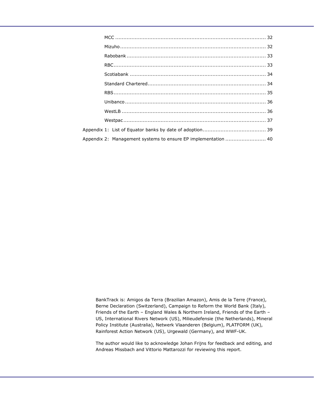| Appendix 2: Management systems to ensure EP implementation  40 |  |
|----------------------------------------------------------------|--|

BankTrack is: Amigos da Terra (Brazilian Amazon), Amis de la Terre (France), Berne Declaration (Switzerland), Campaign to Reform the World Bank (Italy), Friends of the Earth – England Wales & Northern Ireland, Friends of the Earth – US, International Rivers Network (US), Milieudefensie (the Netherlands), Mineral Policy Institute (Australia), Netwerk Vlaanderen (Belgium), PLATFORM (UK), Rainforest Action Network (US), Urgewald (Germany), and WWF-UK.

The author would like to acknowledge Johan Frijns for feedback and editing, and Andreas Missbach and Vittorio Mattarozzi for reviewing this report.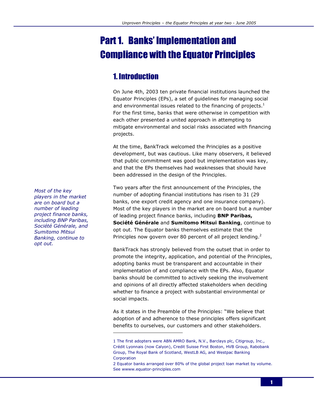## Part 1. Banks' Implementation and Compliance with the Equator Principles

## 1. Introduction

-

On June 4th, 2003 ten private financial institutions launched the Equator Principles (EPs), a set of guidelines for managing social and environmental issues related to the financing of projects. $<sup>1</sup>$ </sup> For the first time, banks that were otherwise in competition with each other presented a united approach in attempting to mitigate environmental and social risks associated with financing projects.

At the time, BankTrack welcomed the Principles as a positive development, but was cautious. Like many observers, it believed that public commitment was good but implementation was key, and that the EPs themselves had weaknesses that should have been addressed in the design of the Principles.

Two years after the first announcement of the Principles, the number of adopting financial institutions has risen to 31 (29 banks, one export credit agency and one insurance company). Most of the key players in the market are on board but a number of leading project finance banks, including **BNP Paribas,** Société Générale and Sumitomo Mitsui Banking, continue to opt out. The Equator banks themselves estimate that the Principles now govern over 80 percent of all project lending.<sup>2</sup>

BankTrack has strongly believed from the outset that in order to promote the integrity, application, and potential of the Principles, adopting banks must be transparent and accountable in their implementation of and compliance with the EPs. Also, Equator banks should be committed to actively seeking the involvement and opinions of all directly affected stakeholders when deciding whether to finance a project with substantial environmental or social impacts.

As it states in the Preamble of the Principles: "We believe that adoption of and adherence to these principles offers significant benefits to ourselves, our customers and other stakeholders.

Most of the key players in the market are on board but a number of leading project finance banks, including BNP Paribas, Société Générale, and Sumitomo Mitsui Banking, continue to opt out.

<sup>1</sup> The first adopters were ABN AMRO Bank, N.V., Barclays plc, Citigroup, Inc., Crédit Lyonnais (now Calyon), Credit Suisse First Boston, HVB Group, Rabobank Group, The Royal Bank of Scotland, WestLB AG, and Westpac Banking Corporation

<sup>2</sup> Equator banks arranged over 80% of the global project loan market by volume. See wwww.equator-principles.com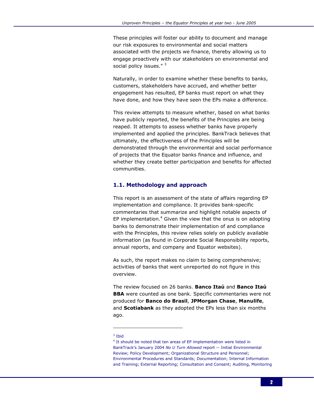These principles will foster our ability to document and manage our risk exposures to environmental and social matters associated with the projects we finance, thereby allowing us to engage proactively with our stakeholders on environmental and social policy issues." 3

Naturally, in order to examine whether these benefits to banks, customers, stakeholders have accrued, and whether better engagement has resulted, EP banks must report on what they have done, and how they have seen the EPs make a difference.

This review attempts to measure whether, based on what banks have publicly reported, the benefits of the Principles are being reaped. It attempts to assess whether banks have properly implemented and applied the principles. BankTrack believes that ultimately, the effectiveness of the Principles will be demonstrated through the environmental and social performance of projects that the Equator banks finance and influence, and whether they create better participation and benefits for affected communities.

#### 1.1. Methodology and approach

This report is an assessment of the state of affairs regarding EP implementation and compliance. It provides bank-specific commentaries that summarize and highlight notable aspects of EP implementation. $<sup>4</sup>$  Given the view that the onus is on adopting</sup> banks to demonstrate their implementation of and compliance with the Principles, this review relies solely on publicly available information (as found in Corporate Social Responsibility reports, annual reports, and company and Equator websites).

As such, the report makes no claim to being comprehensive; activities of banks that went unreported do not figure in this overview.

The review focused on 26 banks. Banco Itaú and Banco Itaú **BBA** were counted as one bank. Specific commentaries were not produced for Banco do Brasil, JPMorgan Chase, Manulife, and **Scotiabank** as they adopted the EPs less than six months ago.

3 Ibid

<sup>&</sup>lt;sup>4</sup> It should be noted that ten areas of EP implementation were listed in BankTrack's January 2004 No U Turn Allowed report -- Initial Environmental Review; Policy Development; Organizational Structure and Personnel; Environmental Procedures and Standards; Documentation; Internal Information and Training; External Reporting; Consultation and Consent; Auditing, Monitoring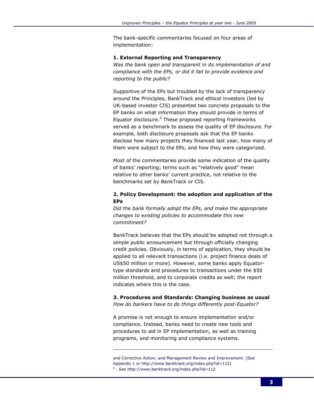The bank-specific commentaries focused on four areas of implementation:

#### 1. External Reporting and Transparency

Was the bank open and transparent in its implementation of and compliance with the EPs, or did it fail to provide evidence and reporting to the public?

Supportive of the EPs but troubled by the lack of transparency around the Principles, BankTrack and ethical investors (led by UK-based investor CIS) presented two concrete proposals to the EP banks on what information they should provide in terms of Equator disclosure.<sup>5</sup> These proposed reporting frameworks served as a benchmark to assess the quality of EP disclosure. For example, both disclosure proposals ask that the EP banks disclose how many projects they financed last year, how many of them were subject to the EPs, and how they were categorized.

Most of the commentaries provide some indication of the quality of banks' reporting; terms such as "relatively good" mean relative to other banks' current practice, not relative to the benchmarks set by BankTrack or CIS.

#### 2. Policy Development: the adoption and application of the EPs

Did the bank formally adopt the EPs, and make the appropriate changes to existing policies to accommodate this new commitment?

BankTrack believes that the EPs should be adopted not through a simple public announcement but through officially changing credit policies. Obviously, in terms of application, they should be applied to all relevant transactions (i.e. project finance deals of US\$50 million or more). However, some banks apply Equatortype standards and procedures to transactions under the \$50 million threshold, and to corporate credits as well; the report indicates where this is the case.

3. Procedures and Standards: Changing business as usual How do bankers have to do things differently post-Equator?

A promise is not enough to ensure implementation and/or compliance. Instead, banks need to create new tools and procedures to aid in EP implementation, as well as training programs, and monitoring and compliance systems.

and Corrective Action; and Management Review and Improvement. (See Appendix 1 or http://www.banktrack.org/index.php?id=112) 5 . See http://www.banktrack.org/index.php?id=112

j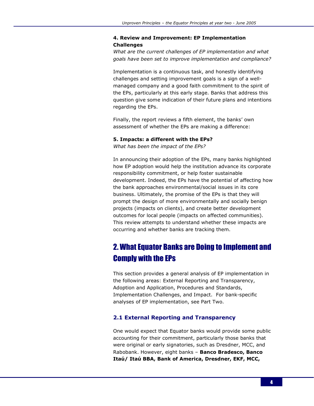#### 4. Review and Improvement: EP Implementation Challenges

What are the current challenges of EP implementation and what goals have been set to improve implementation and compliance?

Implementation is a continuous task, and honestly identifying challenges and setting improvement goals is a sign of a wellmanaged company and a good faith commitment to the spirit of the EPs, particularly at this early stage. Banks that address this question give some indication of their future plans and intentions regarding the EPs.

Finally, the report reviews a fifth element, the banks' own assessment of whether the EPs are making a difference:

#### 5. Impacts: a different with the EPs?

What has been the impact of the EPs?

In announcing their adoption of the EPs, many banks highlighted how EP adoption would help the institution advance its corporate responsibility commitment, or help foster sustainable development. Indeed, the EPs have the potential of affecting how the bank approaches environmental/social issues in its core business. Ultimately, the promise of the EPs is that they will prompt the design of more environmentally and socially benign projects (impacts on clients), and create better development outcomes for local people (impacts on affected communities). This review attempts to understand whether these impacts are occurring and whether banks are tracking them.

## 2. What Equator Banks are Doing to Implement and Comply with the EPs

This section provides a general analysis of EP implementation in the following areas: External Reporting and Transparency, Adoption and Application, Procedures and Standards, Implementation Challenges, and Impact. For bank-specific analyses of EP implementation, see Part Two.

#### 2.1 External Reporting and Transparency

One would expect that Equator banks would provide some public accounting for their commitment, particularly those banks that were original or early signatories, such as Dresdner, MCC, and Rabobank. However, eight banks - Banco Bradesco, Banco Itaú/ Itaú BBA, Bank of America, Dresdner, EKF, MCC,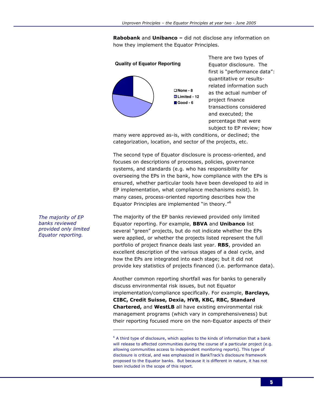Rabobank and Unibanco – did not disclose any information on how they implement the Equator Principles.



There are two types of Equator disclosure. The first is "performance data": quantitative or resultsrelated information such as the actual number of project finance transactions considered and executed; the percentage that were subject to EP review; how

many were approved as-is, with conditions, or declined; the categorization, location, and sector of the projects, etc.

The second type of Equator disclosure is process-oriented, and focuses on descriptions of processes, policies, governance systems, and standards (e.g. who has responsibility for overseeing the EPs in the bank, how compliance with the EPs is ensured, whether particular tools have been developed to aid in EP implementation, what compliance mechanisms exist). In many cases, process-oriented reporting describes how the Equator Principles are implemented "in theory."<sup>6</sup>

The majority of the EP banks reviewed provided only limited Equator reporting. For example, BBVA and Unibanco list several "green" projects, but do not indicate whether the EPs were applied, or whether the projects listed represent the full portfolio of project finance deals last year. RBS, provided an excellent description of the various stages of a deal cycle, and how the EPs are integrated into each stage; but it did not provide key statistics of projects financed (i.e. performance data).

Another common reporting shortfall was for banks to generally discuss environmental risk issues, but not Equator implementation/compliance specifically. For example, **Barclays,** CIBC, Credit Suisse, Dexia, HVB, KBC, RBC, Standard Chartered, and WestLB all have existing environmental risk management programs (which vary in comprehensiveness) but their reporting focused more on the non-Equator aspects of their

The majority of EP banks reviewed provided only limited Equator reporting.

 $6$  A third type of disclosure, which applies to the kinds of information that a bank will release to affected communities during the course of a particular project (e.g. allowing communities access to independent monitoring reports). This type of disclosure is critical, and was emphasized in BankTrack's disclosure framework proposed to the Equator banks. But because it is different in nature, it has not been included in the scope of this report.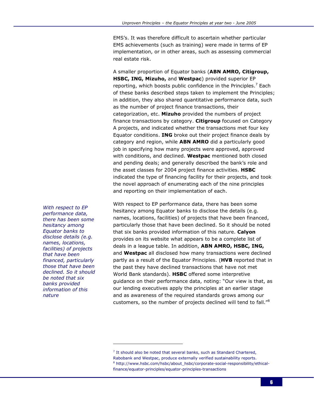EMS's. It was therefore difficult to ascertain whether particular EMS achievements (such as training) were made in terms of EP implementation, or in other areas, such as assessing commercial real estate risk.

A smaller proportion of Equator banks (ABN AMRO, Citigroup, HSBC, ING, Mizuho, and Westpac) provided superior EP reporting, which boosts public confidence in the Principles.<sup>7</sup> Each of these banks described steps taken to implement the Principles; in addition, they also shared quantitative performance data, such as the number of project finance transactions, their categorization, etc. Mizuho provided the numbers of project finance transactions by category. Citigroup focused on Category A projects, and indicated whether the transactions met four key Equator conditions. ING broke out their project finance deals by category and region, while **ABN AMRO** did a particularly good job in specifying how many projects were approved, approved with conditions, and declined. Westpac mentioned both closed and pending deals; and generally described the bank's role and the asset classes for 2004 project finance activities. HSBC indicated the type of financing facility for their projects, and took the novel approach of enumerating each of the nine principles and reporting on their implementation of each.

With respect to EP performance data, there has been some hesitancy among Equator banks to disclose details (e.g. names, locations, facilities) of projects that have been financed, particularly those that have been declined. So it should be noted that six banks provided information of this nature

i,

With respect to EP performance data, there has been some hesitancy among Equator banks to disclose the details (e.g. names, locations, facilities) of projects that have been financed, particularly those that have been declined. So it should be noted that six banks provided information of this nature. Calyon provides on its website what appears to be a complete list of deals in a league table. In addition, ABN AMRO, HSBC, ING, and Westpac all disclosed how many transactions were declined partly as a result of the Equator Principles. (HVB reported that in the past they have declined transactions that have not met World Bank standards). **HSBC** offered some interpretive guidance on their performance data, noting: "Our view is that, as our lending executives apply the principles at an earlier stage and as awareness of the required standards grows among our customers, so the number of projects declined will tend to fall."<sup>8</sup>

 $<sup>7</sup>$  It should also be noted that several banks, such as Standard Chartered,</sup> Rabobank and Westpac, produce externally verified sustainability reports. 8 http://www.hsbc.com/hsbc/about\_hsbc/corporate-social-responsibility/ethicalfinance/equator-principles/equator-principles-transactions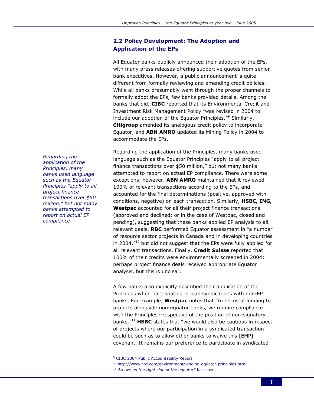### 2.2 Policy Development: The Adoption and Application of the EPs

All Equator banks publicly announced their adoption of the EPs, with many press releases offering supportive quotes from senior bank executives. However, a public announcement is quite different from formally reviewing and amending credit policies. While all banks presumably went through the proper channels to formally adopt the EPs, few banks provided details. Among the banks that did, CIBC reported that its Environmental Credit and Investment Risk Management Policy "was revised in 2004 to include our adoption of the Equator Principles."<sup>9</sup> Similarly, Citigroup amended its analogous credit policy to incorporate Equator, and ABN AMRO updated its Mining Policy in 2004 to accommodate the EPs.

Regarding the application of the Principles, many banks used language such as the Equator Principles "apply to all project finance transactions over \$50 million," but not many banks attempted to report on actual EP compliance. There were some exceptions, however. ABN AMRO maintained that it reviewed 100% of relevant transactions according to the EPs, and accounted for the final determinations (positive, approved with conditions, negative) on each transaction. Similarly, HSBC, ING, Westpac accounted for all their project finance transactions (approved and declined; or in the case of Westpac, closed and pending), suggesting that these banks applied EP analysis to all relevant deals. RBC performed Equator assessment in "a number of resource sector projects in Canada and in developing countries in 2004, $^{\prime\prime}$ <sup>10</sup> but did not suggest that the EPs were fully applied for all relevant transactions. Finally, Credit Suisse reported that 100% of their credits were environmentally screened in 2004; perhaps project finance deals received appropriate Equator analysis, but this is unclear.

A few banks also explicitly described their application of the Principles when participating in loan syndications with non-EP banks. For example, **Westpac** notes that "In terms of lending to projects alongside non-equator banks, we require compliance with the Principles irrespective of the position of non-signatory banks. $"^{11}$  HSBC states that "we would also be cautious in respect of projects where our participation in a syndicated transaction could be such as to allow other banks to waive this [EMP] covenant. It remains our preference to participate in syndicated

i,

Regarding the application of the Principles, many banks used language such as the Equator Principles "apply to all project finance transactions over \$50 million," but not many banks attempted to report on actual EP compliance

<sup>&</sup>lt;sup>9</sup> CIBC 2004 Public Accountability Report

<sup>10</sup> http://www.rbc.com/environment/lending-equator-principles.html

 $11$  Are we on the right side of the equator? fact sheet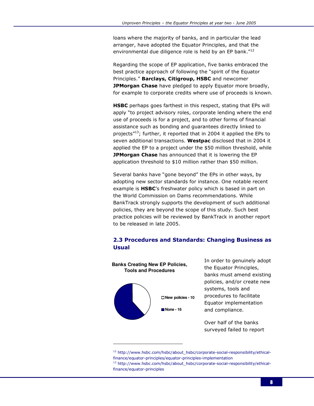loans where the majority of banks, and in particular the lead arranger, have adopted the Equator Principles, and that the environmental due diligence role is held by an EP bank."<sup>12</sup>

Regarding the scope of EP application, five banks embraced the best practice approach of following the "spirit of the Equator Principles." Barclays, Citigroup, HSBC and newcomer **JPMorgan Chase** have pledged to apply Equator more broadly, for example to corporate credits where use of proceeds is known.

**HSBC** perhaps goes farthest in this respect, stating that EPs will apply "to project advisory roles, corporate lending where the end use of proceeds is for a project, and to other forms of financial assistance such as bonding and guarantees directly linked to projects<sup>"13</sup>; further, it reported that in 2004 it applied the EPs to seven additional transactions. Westpac disclosed that in 2004 it applied the EP to a project under the \$50 million threshold, while JPMorgan Chase has announced that it is lowering the EP application threshold to \$10 million rather than \$50 million.

Several banks have "gone beyond" the EPs in other ways, by adopting new sector standards for instance. One notable recent example is HSBC's freshwater policy which is based in part on the World Commission on Dams recommendations. While BankTrack strongly supports the development of such additional policies, they are beyond the scope of this study. Such best practice policies will be reviewed by BankTrack in another report to be released in late 2005.

### 2.3 Procedures and Standards: Changing Business as Usual



i,

In order to genuinely adopt the Equator Principles, banks must amend existing policies, and/or create new systems, tools and procedures to facilitate Equator implementation and compliance.

Over half of the banks surveyed failed to report

<sup>12</sup> http://www.hsbc.com/hsbc/about\_hsbc/corporate-social-responsibility/ethicalfinance/equator-principles/equator-principles-implementation

<sup>13</sup> http://www.hsbc.com/hsbc/about\_hsbc/corporate-social-responsibility/ethicalfinance/equator-principles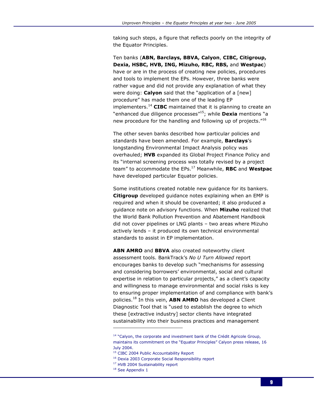taking such steps, a figure that reflects poorly on the integrity of the Equator Principles.

Ten banks (ABN, Barclays, BBVA, Calyon, CIBC, Citigroup, Dexia, HSBC, HVB, ING, Mizuho, RBC, RBS, and Westpac) have or are in the process of creating new policies, procedures and tools to implement the EPs. However, three banks were rather vague and did not provide any explanation of what they were doing: Calyon said that the "application of a [new] procedure" has made them one of the leading EP implementers.<sup>14</sup> CIBC maintained that it is planning to create an "enhanced due diligence processes"<sup>15</sup>; while **Dexia** mentions "a new procedure for the handling and following up of projects."<sup>16</sup>

The other seven banks described how particular policies and standards have been amended. For example, **Barclays's** longstanding Environmental Impact Analysis policy was overhauled; HVB expanded its Global Project Finance Policy and its "internal screening process was totally revised by a project team" to accommodate the EPs. $^{17}$  Meanwhile, RBC and Westpac have developed particular Equator policies.

Some institutions created notable new guidance for its bankers. Citigroup developed quidance notes explaining when an EMP is required and when it should be covenanted; it also produced a quidance note on advisory functions. When **Mizuho** realized that the World Bank Pollution Prevention and Abatement Handbook did not cover pipelines or LNG plants – two areas where Mizuho actively lends – it produced its own technical environmental standards to assist in EP implementation.

ABN AMRO and BBVA also created noteworthy client assessment tools. BankTrack's No U Turn Allowed report encourages banks to develop such "mechanisms for assessing and considering borrowers' environmental, social and cultural expertise in relation to particular projects," as a client's capacity and willingness to manage environmental and social risks is key to ensuring proper implementation of and compliance with bank's policies.<sup>18</sup> In this vein, **ABN AMRO** has developed a Client Diagnostic Tool that is "used to establish the degree to which these [extractive industry] sector clients have integrated sustainability into their business practices and management

<sup>&</sup>lt;sup>14</sup> "Calyon, the corporate and investment bank of the Crédit Agricole Group, maintains its commitment on the "Equator Principles" Calyon press release, 16 July 2004.

<sup>15</sup> CIBC 2004 Public Accountability Report

<sup>16</sup> Dexia 2003 Corporate Social Responsibility report

<sup>&</sup>lt;sup>17</sup> HVB 2004 Sustainability report

<sup>&</sup>lt;sup>18</sup> See Appendix 1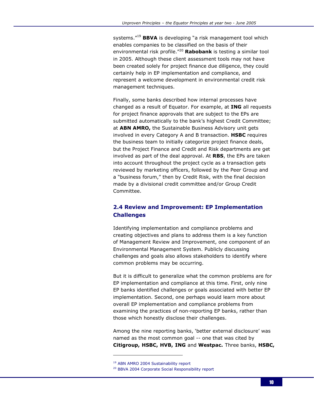systems. $19$ <sup>9</sup> BBVA is developing "a risk management tool which enables companies to be classified on the basis of their environmental risk profile.<sup>"20</sup> Rabobank is testing a similar tool in 2005. Although these client assessment tools may not have been created solely for project finance due diligence, they could certainly help in EP implementation and compliance, and represent a welcome development in environmental credit risk management techniques.

Finally, some banks described how internal processes have changed as a result of Equator. For example, at ING all requests for project finance approvals that are subject to the EPs are submitted automatically to the bank's highest Credit Committee; at **ABN AMRO,** the Sustainable Business Advisory unit gets involved in every Category A and B transaction. HSBC requires the business team to initially categorize project finance deals, but the Project Finance and Credit and Risk departments are get involved as part of the deal approval. At RBS, the EPs are taken into account throughout the project cycle as a transaction gets reviewed by marketing officers, followed by the Peer Group and a "business forum," then by Credit Risk, with the final decision made by a divisional credit committee and/or Group Credit Committee.

### 2.4 Review and Improvement: EP Implementation Challenges

Identifying implementation and compliance problems and creating objectives and plans to address them is a key function of Management Review and Improvement, one component of an Environmental Management System. Publicly discussing challenges and goals also allows stakeholders to identify where common problems may be occurring.

But it is difficult to generalize what the common problems are for EP implementation and compliance at this time. First, only nine EP banks identified challenges or goals associated with better EP implementation. Second, one perhaps would learn more about overall EP implementation and compliance problems from examining the practices of non-reporting EP banks, rather than those which honestly disclose their challenges.

Among the nine reporting banks, 'better external disclosure' was named as the most common goal -- one that was cited by Citigroup, HSBC, HVB, ING and Westpac. Three banks, HSBC,

<sup>19</sup> ABN AMRO 2004 Sustainability report

<sup>20</sup> BBVA 2004 Corporate Social Responsibility report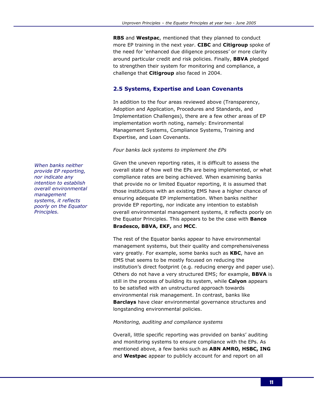**RBS** and **Westpac**, mentioned that they planned to conduct more EP training in the next year. CIBC and Citigroup spoke of the need for 'enhanced due diligence processes' or more clarity around particular credit and risk policies. Finally, **BBVA** pledged to strengthen their system for monitoring and compliance, a challenge that **Citigroup** also faced in 2004.

### 2.5 Systems, Expertise and Loan Covenants

In addition to the four areas reviewed above (Transparency, Adoption and Application, Procedures and Standards, and Implementation Challenges), there are a few other areas of EP implementation worth noting, namely: Environmental Management Systems, Compliance Systems, Training and Expertise, and Loan Covenants.

#### Four banks lack systems to implement the EPs

Given the uneven reporting rates, it is difficult to assess the overall state of how well the EPs are being implemented, or what compliance rates are being achieved. When examining banks that provide no or limited Equator reporting, it is assumed that those institutions with an existing EMS have a higher chance of ensuring adequate EP implementation. When banks neither provide EP reporting, nor indicate any intention to establish overall environmental management systems, it reflects poorly on the Equator Principles. This appears to be the case with **Banco** Bradesco, BBVA, EKF, and MCC.

The rest of the Equator banks appear to have environmental management systems, but their quality and comprehensiveness vary greatly. For example, some banks such as KBC, have an EMS that seems to be mostly focused on reducing the institution's direct footprint (e.g. reducing energy and paper use). Others do not have a very structured EMS; for example, **BBVA** is still in the process of building its system, while **Calyon** appears to be satisfied with an unstructured approach towards environmental risk management. In contrast, banks like **Barclays** have clear environmental governance structures and longstanding environmental policies.

#### Monitoring, auditing and compliance systems

Overall, little specific reporting was provided on banks' auditing and monitoring systems to ensure compliance with the EPs. As mentioned above, a few banks such as **ABN AMRO, HSBC, ING** and **Westpac** appear to publicly account for and report on all

When banks neither provide EP reporting, nor indicate any intention to establish overall environmental management systems, it reflects poorly on the Equator Principles.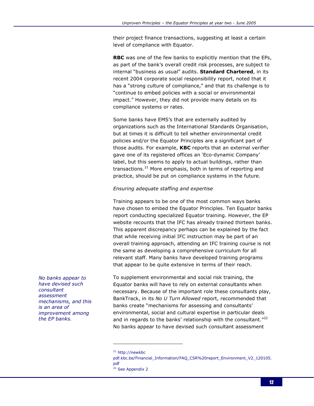their project finance transactions, suggesting at least a certain level of compliance with Equator.

**RBC** was one of the few banks to explicitly mention that the EPs, as part of the bank's overall credit risk processes, are subject to internal "business as usual" audits. Standard Chartered, in its recent 2004 corporate social responsibility report, noted that it has a "strong culture of compliance," and that its challenge is to "continue to embed policies with a social or environmental impact." However, they did not provide many details on its compliance systems or rates.

Some banks have EMS's that are externally audited by organizations such as the International Standards Organisation, but at times it is difficult to tell whether environmental credit policies and/or the Equator Principles are a significant part of those audits. For example, **KBC** reports that an external verifier gave one of its registered offices an 'Eco-dynamic Company' label, but this seems to apply to actual buildings, rather than transactions. $^{21}$  More emphasis, both in terms of reporting and practice, should be put on compliance systems in the future.

#### Ensuring adequate staffing and expertise

Training appears to be one of the most common ways banks have chosen to embed the Equator Principles. Ten Equator banks report conducting specialized Equator training. However, the EP website recounts that the IFC has already trained thirteen banks. This apparent discrepancy perhaps can be explained by the fact that while receiving initial IFC instruction may be part of an overall training approach, attending an IFC training course is not the same as developing a comprehensive curriculum for all relevant staff. Many banks have developed training programs that appear to be quite extensive in terms of their reach.

To supplement environmental and social risk training, the Equator banks will have to rely on external consultants when necessary. Because of the important role these consultants play, BankTrack, in its No U Turn Allowed report, recommended that banks create "mechanisms for assessing and consultants' environmental, social and cultural expertise in particular deals and in regards to the banks' relationship with the consultant. $122$ No banks appear to have devised such consultant assessment

i,

No banks appear to have devised such consultant assessment mechanisms, and this is an area of improvement among the EP banks.

<sup>21</sup> http://newkbc

pdf.kbc.be/Financial\_Information/FAQ\_CSR%20report\_Environment\_V2\_120105. pdf

<sup>22</sup> See Appendix 2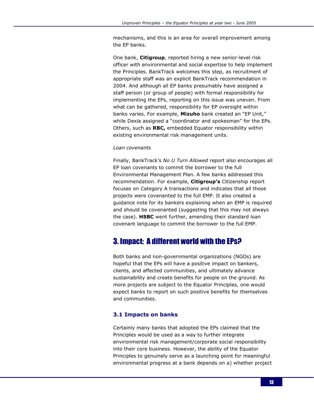mechanisms, and this is an area for overall improvement among the EP banks.

One bank, **Citigroup**, reported hiring a new senior-level risk officer with environmental and social expertise to help implement the Principles. BankTrack welcomes this step, as recruitment of appropriate staff was an explicit BankTrack recommendation in 2004. And although all EP banks presumably have assigned a staff person (or group of people) with formal responsibility for implementing the EPs, reporting on this issue was uneven. From what can be gathered, responsibility for EP oversight within banks varies. For example, Mizuho bank created an "EP Unit," while Dexia assigned a "coordinator and spokesman" for the EPs. Others, such as RBC, embedded Equator responsibility within existing environmental risk management units.

#### Loan covenants

Finally, BankTrack's No U Turn Allowed report also encourages all EP loan covenants to commit the borrower to the full Environmental Management Plan. A few banks addressed this recommendation. For example, Citigroup's Citizenship report focuses on Category A transactions and indicates that all those projects were covenanted to the full EMP. It also created a guidance note for its bankers explaining when an EMP is required and should be covenanted (suggesting that this may not always the case). HSBC went further, amending their standard loan covenant language to commit the borrower to the full EMP.

## 3. Impact: A different world with the EPs?

Both banks and non-governmental organizations (NGOs) are hopeful that the EPs will have a positive impact on bankers, clients, and affected communities, and ultimately advance sustainability and create benefits for people on the ground. As more projects are subject to the Equator Principles, one would expect banks to report on such positive benefits for themselves and communities.

#### 3.1 Impacts on banks

Certainly many banks that adopted the EPs claimed that the Principles would be used as a way to further integrate environmental risk management/corporate social responsibility into their core business. However, the ability of the Equator Principles to genuinely serve as a launching point for meaningful environmental progress at a bank depends on a) whether project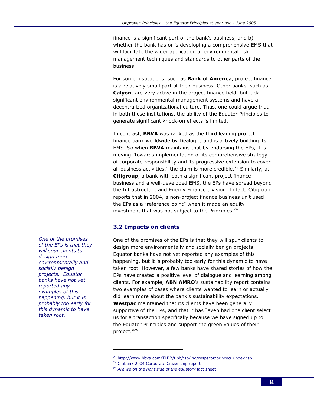finance is a significant part of the bank's business, and b) whether the bank has or is developing a comprehensive EMS that will facilitate the wider application of environmental risk management techniques and standards to other parts of the business.

For some institutions, such as **Bank of America**, project finance is a relatively small part of their business. Other banks, such as Calyon, are very active in the project finance field, but lack significant environmental management systems and have a decentralized organizational culture. Thus, one could argue that in both these institutions, the ability of the Equator Principles to generate significant knock-on effects is limited.

In contrast, **BBVA** was ranked as the third leading project finance bank worldwide by Dealogic, and is actively building its EMS. So when BBVA maintains that by endorsing the EPs, it is moving "towards implementation of its comprehensive strategy of corporate responsibility and its progressive extension to cover all business activities," the claim is more credible.<sup>23</sup> Similarly, at Citigroup, a bank with both a significant project finance business and a well-developed EMS, the EPs have spread beyond the Infrastructure and Energy Finance division. In fact, Citigroup reports that in 2004, a non-project finance business unit used the EPs as a "reference point" when it made an equity investment that was not subject to the Principles. $^{24}$ 

### 3.2 Impacts on clients

One of the promises of the EPs is that they will spur clients to design more environmentally and socially benign projects. Equator banks have not yet reported any examples of this happening, but it is probably too early for this dynamic to have taken root. However, a few banks have shared stories of how the EPs have created a positive level of dialogue and learning among clients. For example, ABN AMRO's sustainability report contains two examples of cases where clients wanted to learn or actually did learn more about the bank's sustainability expectations. **Westpac** maintained that its clients have been generally supportive of the EPs, and that it has "even had one client select us for a transaction specifically because we have signed up to the Equator Principles and support the green values of their project."<sup>25</sup>

-

One of the promises of the EPs is that they will spur clients to design more environmentally and socially benign projects. Equator banks have not yet reported any examples of this happening, but it is probably too early for this dynamic to have taken root.

<sup>&</sup>lt;sup>23</sup> http://www.bbva.com/TLBB/tlbb/jsp/ing/respscor/princecu/index.jsp

<sup>24</sup> Citibank 2004 Corporate Citizenship report

 $25$  Are we on the right side of the equator? fact sheet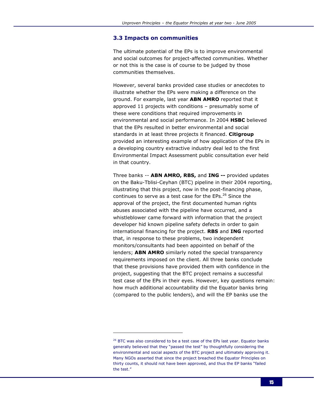#### 3.3 Impacts on communities

The ultimate potential of the EPs is to improve environmental and social outcomes for project-affected communities. Whether or not this is the case is of course to be judged by those communities themselves.

However, several banks provided case studies or anecdotes to illustrate whether the EPs were making a difference on the ground. For example, last year **ABN AMRO** reported that it approved 11 projects with conditions – presumably some of these were conditions that required improvements in environmental and social performance. In 2004 HSBC believed that the EPs resulted in better environmental and social standards in at least three projects it financed. Citigroup provided an interesting example of how application of the EPs in a developing country extractive industry deal led to the first Environmental Impact Assessment public consultation ever held in that country.

Three banks -- ABN AMRO, RBS, and ING -- provided updates on the Baku-Tblisi-Ceyhan (BTC) pipeline in their 2004 reporting, illustrating that this project, now in the post-financing phase, continues to serve as a test case for the EPs. $^{26}$  Since the approval of the project, the first documented human rights abuses associated with the pipeline have occurred, and a whistleblower came forward with information that the project developer hid known pipeline safety defects in order to gain international financing for the project. RBS and ING reported that, in response to these problems, two independent monitors/consultants had been appointed on behalf of the lenders; ABN AMRO similarly noted the special transparency requirements imposed on the client. All three banks conclude that these provisions have provided them with confidence in the project, suggesting that the BTC project remains a successful test case of the EPs in their eyes. However, key questions remain: how much additional accountability did the Equator banks bring (compared to the public lenders), and will the EP banks use the

 $26$  BTC was also considered to be a test case of the EPs last year. Equator banks generally believed that they "passed the test" by thoughtfully considering the environmental and social aspects of the BTC project and ultimately approving it. Many NGOs asserted that since the project breached the Equator Principles on thirty counts, it should not have been approved, and thus the EP banks "failed the test."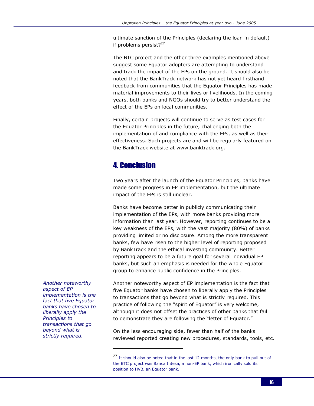ultimate sanction of the Principles (declaring the loan in default) if problems persist? $27$ 

The BTC project and the other three examples mentioned above suggest some Equator adopters are attempting to understand and track the impact of the EPs on the ground. It should also be noted that the BankTrack network has not yet heard firsthand feedback from communities that the Equator Principles has made material improvements to their lives or livelihoods. In the coming years, both banks and NGOs should try to better understand the effect of the EPs on local communities.

Finally, certain projects will continue to serve as test cases for the Equator Principles in the future, challenging both the implementation of and compliance with the EPs, as well as their effectiveness. Such projects are and will be regularly featured on the BankTrack website at www.banktrack.org.

## 4. Conclusion

Two years after the launch of the Equator Principles, banks have made some progress in EP implementation, but the ultimate impact of the EPs is still unclear.

Banks have become better in publicly communicating their implementation of the EPs, with more banks providing more information than last year. However, reporting continues to be a key weakness of the EPs, with the vast majority (80%) of banks providing limited or no disclosure. Among the more transparent banks, few have risen to the higher level of reporting proposed by BankTrack and the ethical investing community. Better reporting appears to be a future goal for several individual EP banks, but such an emphasis is needed for the whole Equator group to enhance public confidence in the Principles.

Another noteworthy aspect of EP implementation is the fact that five Equator banks have chosen to liberally apply the Principles to transactions that go beyond what is strictly required.

-

Another noteworthy aspect of EP implementation is the fact that five Equator banks have chosen to liberally apply the Principles to transactions that go beyond what is strictly required. This practice of following the "spirit of Equator" is very welcome, although it does not offset the practices of other banks that fail to demonstrate they are following the "letter of Equator."

On the less encouraging side, fewer than half of the banks reviewed reported creating new procedures, standards, tools, etc.

<sup>&</sup>lt;sup>27</sup> It should also be noted that in the last 12 months, the only bank to pull out of the BTC project was Banca Intesa, a non-EP bank, which ironically sold its position to HVB, an Equator bank.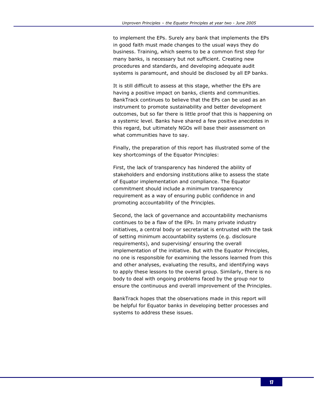to implement the EPs. Surely any bank that implements the EPs in good faith must made changes to the usual ways they do business. Training, which seems to be a common first step for many banks, is necessary but not sufficient. Creating new procedures and standards, and developing adequate audit systems is paramount, and should be disclosed by all EP banks.

It is still difficult to assess at this stage, whether the EPs are having a positive impact on banks, clients and communities. BankTrack continues to believe that the EPs can be used as an instrument to promote sustainability and better development outcomes, but so far there is little proof that this is happening on a systemic level. Banks have shared a few positive anecdotes in this regard, but ultimately NGOs will base their assessment on what communities have to say.

Finally, the preparation of this report has illustrated some of the key shortcomings of the Equator Principles:

First, the lack of transparency has hindered the ability of stakeholders and endorsing institutions alike to assess the state of Equator implementation and compliance. The Equator commitment should include a minimum transparency requirement as a way of ensuring public confidence in and promoting accountability of the Principles.

Second, the lack of governance and accountability mechanisms continues to be a flaw of the EPs. In many private industry initiatives, a central body or secretariat is entrusted with the task of setting minimum accountability systems (e.g. disclosure requirements), and supervising/ ensuring the overall implementation of the initiative. But with the Equator Principles, no one is responsible for examining the lessons learned from this and other analyses, evaluating the results, and identifying ways to apply these lessons to the overall group. Similarly, there is no body to deal with ongoing problems faced by the group nor to ensure the continuous and overall improvement of the Principles.

BankTrack hopes that the observations made in this report will be helpful for Equator banks in developing better processes and systems to address these issues.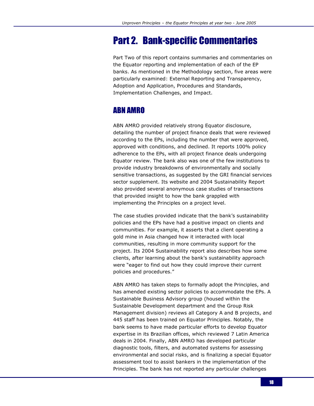## Part 2. Bank-specific Commentaries

Part Two of this report contains summaries and commentaries on the Equator reporting and implementation of each of the EP banks. As mentioned in the Methodology section, five areas were particularly examined: External Reporting and Transparency, Adoption and Application, Procedures and Standards, Implementation Challenges, and Impact.

## ABN AMRO

ABN AMRO provided relatively strong Equator disclosure, detailing the number of project finance deals that were reviewed according to the EPs, including the number that were approved, approved with conditions, and declined. It reports 100% policy adherence to the EPs, with all project finance deals undergoing Equator review. The bank also was one of the few institutions to provide industry breakdowns of environmentally and socially sensitive transactions, as suggested by the GRI financial services sector supplement. Its website and 2004 Sustainability Report also provided several anonymous case studies of transactions that provided insight to how the bank grappled with implementing the Principles on a project level.

The case studies provided indicate that the bank's sustainability policies and the EPs have had a positive impact on clients and communities. For example, it asserts that a client operating a gold mine in Asia changed how it interacted with local communities, resulting in more community support for the project. Its 2004 Sustainability report also describes how some clients, after learning about the bank's sustainability approach were "eager to find out how they could improve their current policies and procedures."

ABN AMRO has taken steps to formally adopt the Principles, and has amended existing sector policies to accommodate the EPs. A Sustainable Business Advisory group (housed within the Sustainable Development department and the Group Risk Management division) reviews all Category A and B projects, and 445 staff has been trained on Equator Principles. Notably, the bank seems to have made particular efforts to develop Equator expertise in its Brazilian offices, which reviewed 7 Latin America deals in 2004. Finally, ABN AMRO has developed particular diagnostic tools, filters, and automated systems for assessing environmental and social risks, and is finalizing a special Equator assessment tool to assist bankers in the implementation of the Principles. The bank has not reported any particular challenges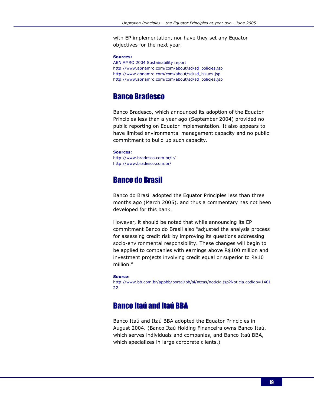with EP implementation, nor have they set any Equator objectives for the next year.

#### Sources:

ABN AMRO 2004 Sustainability report http://www.abnamro.com/com/about/sd/sd\_policies.jsp http://www.abnamro.com/com/about/sd/sd\_issues.jsp http://www.abnamro.com/com/about/sd/sd\_policies.jsp

## Banco Bradesco

Banco Bradesco, which announced its adoption of the Equator Principles less than a year ago (September 2004) provided no public reporting on Equator implementation. It also appears to have limited environmental management capacity and no public commitment to build up such capacity.

#### Sources:

http://www.bradesco.com.br/ir/ http://www.bradesco.com.br/

## Banco do Brasil

Banco do Brasil adopted the Equator Principles less than three months ago (March 2005), and thus a commentary has not been developed for this bank.

However, it should be noted that while announcing its EP commitment Banco do Brasil also "adjusted the analysis process for assessing credit risk by improving its questions addressing socio-environmental responsibility. These changes will begin to be applied to companies with earnings above R\$100 million and investment projects involving credit equal or superior to R\$10 million."

#### Source:

http://www.bb.com.br/appbb/portal/bb/si/ntcas/noticia.jsp?Noticia.codigo=1401 22

## Banco Itaú and Itaú BBA

Banco Itaú and Itaú BBA adopted the Equator Principles in August 2004. (Banco Itaú Holding Financeira owns Banco Itaú, which serves individuals and companies, and Banco Itaú BBA, which specializes in large corporate clients.)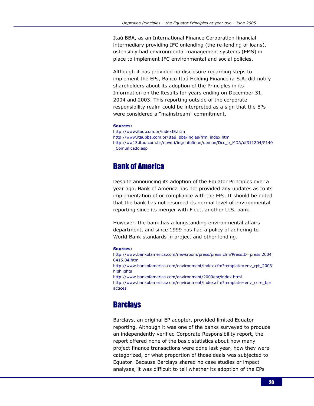Itaú BBA, as an International Finance Corporation financial intermediary providing IFC onlending (the re-lending of loans), ostensibly had environmental management systems (EMS) in place to implement IFC environmental and social policies.

Although it has provided no disclosure regarding steps to implement the EPs, Banco Itaú Holding Financeira S.A. did notify shareholders about its adoption of the Principles in its Information on the Results for years ending on December 31, 2004 and 2003. This reporting outside of the corporate responsibility realm could be interpreted as a sign that the EPs were considered a "mainstream" commitment.

#### Sources:

```
http://www.itau.com.br/indexIE.htm 
http://www.itaubba.com.br/Itaú_bba/ingles/frm_index.htm 
http://ww13.itau.com.br/novori/ing/infofinan/demon/Dcc_e_MDA/df311204/P140
_Comunicado.asp
```
## Bank of America

Despite announcing its adoption of the Equator Principles over a year ago, Bank of America has not provided any updates as to its implementation of or compliance with the EPs. It should be noted that the bank has not resumed its normal level of environmental reporting since its merger with Fleet, another U.S. bank.

However, the bank has a longstanding environmental affairs department, and since 1999 has had a policy of adhering to World Bank standards in project and other lending.

#### Sources:

http://www.bankofamerica.com/newsroom/press/press.cfm?PressID=press.2004 0415.04.htm

http://www.bankofamerica.com/environment/index.cfm?template=env\_rpt\_2003 highlights

http://www.bankofamerica.com/environment/2000epr/index.html

http://www.bankofamerica.com/environment/index.cfm?template=env\_core\_bpr actices

## **Barclays**

Barclays, an original EP adopter, provided limited Equator reporting. Although it was one of the banks surveyed to produce an independently verified Corporate Responsibility report, the report offered none of the basic statistics about how many project finance transactions were done last year, how they were categorized, or what proportion of those deals was subjected to Equator. Because Barclays shared no case studies or impact analyses, it was difficult to tell whether its adoption of the EPs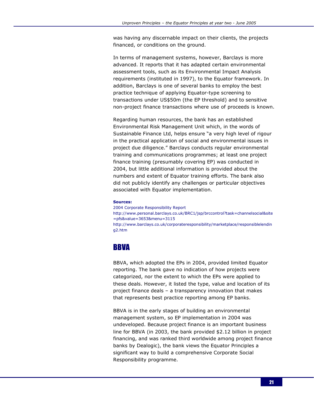was having any discernable impact on their clients, the projects financed, or conditions on the ground.

In terms of management systems, however, Barclays is more advanced. It reports that it has adapted certain environmental assessment tools, such as its Environmental Impact Analysis requirements (instituted in 1997), to the Equator framework. In addition, Barclays is one of several banks to employ the best practice technique of applying Equator-type screening to transactions under US\$50m (the EP threshold) and to sensitive non-project finance transactions where use of proceeds is known.

Regarding human resources, the bank has an established Environmental Risk Management Unit which, in the words of Sustainable Finance Ltd, helps ensure "a very high level of rigour in the practical application of social and environmental issues in project due diligence." Barclays conducts regular environmental training and communications programmes; at least one project finance training (presumably covering EP) was conducted in 2004, but little additional information is provided about the numbers and extent of Equator training efforts. The bank also did not publicly identify any challenges or particular objectives associated with Equator implementation.

#### Sources:

2004 Corporate Responsibility Report http://www.personal.barclays.co.uk/BRC1/jsp/brccontrol?task=channelsocial&site =pfs&value=3653&menu=3115 http://www.barclays.co.uk/corporateresponsibility/marketplace/responsiblelendin g2.htm

## BBVA

BBVA, which adopted the EPs in 2004, provided limited Equator reporting. The bank gave no indication of how projects were categorized, nor the extent to which the EPs were applied to these deals. However, it listed the type, value and location of its project finance deals – a transparency innovation that makes that represents best practice reporting among EP banks.

BBVA is in the early stages of building an environmental management system, so EP implementation in 2004 was undeveloped. Because project finance is an important business line for BBVA (in 2003, the bank provided \$2.12 billion in project financing, and was ranked third worldwide among project finance banks by Dealogic), the bank views the Equator Principles a significant way to build a comprehensive Corporate Social Responsibility programme.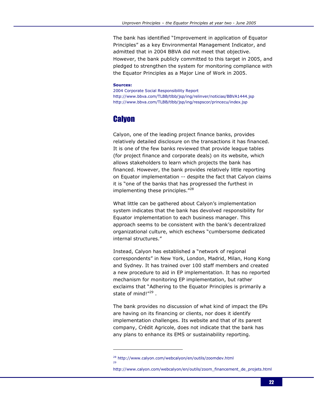The bank has identified "Improvement in application of Equator Principles" as a key Environmental Management Indicator, and admitted that in 2004 BBVA did not meet that objective. However, the bank publicly committed to this target in 2005, and pledged to strengthen the system for monitoring compliance with the Equator Principles as a Major Line of Work in 2005.

#### Sources:

2004 Corporate Social Responsibility Report http://www.bbva.com/TLBB/tlbb/jsp/ing/relinver/noticias/BBVA1444.jsp http://www.bbva.com/TLBB/tlbb/jsp/ing/respscor/princecu/index.jsp

## **Calyon**

-

29

Calyon, one of the leading project finance banks, provides relatively detailed disclosure on the transactions it has financed. It is one of the few banks reviewed that provide league tables (for project finance and corporate deals) on its website, which allows stakeholders to learn which projects the bank has financed. However, the bank provides relatively little reporting on Equator implementation -- despite the fact that Calyon claims it is "one of the banks that has progressed the furthest in implementing these principles."<sup>28</sup>

What little can be gathered about Calyon's implementation system indicates that the bank has devolved responsibility for Equator implementation to each business manager. This approach seems to be consistent with the bank's decentralized organizational culture, which eschews "cumbersome dedicated internal structures."

Instead, Calyon has established a "network of regional correspondents" in New York, London, Madrid, Milan, Hong Kong and Sydney. It has trained over 100 staff members and created a new procedure to aid in EP implementation. It has no reported mechanism for monitoring EP implementation, but rather exclaims that "Adhering to the Equator Principles is primarily a state of mind!"<sup>29</sup>.

The bank provides no discussion of what kind of impact the EPs are having on its financing or clients, nor does it identify implementation challenges. Its website and that of its parent company, Crédit Agricole, does not indicate that the bank has any plans to enhance its EMS or sustainability reporting.

<sup>28</sup> http://www.calyon.com/webcalyon/en/outils/zoomdev.html

http://www.calyon.com/webcalyon/en/outils/zoom\_financement\_de\_projets.html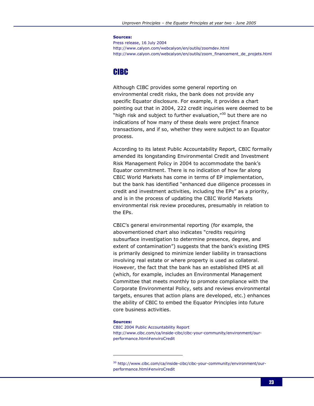#### Sources:

Press release, 16 July 2004 http://www.calyon.com/webcalyon/en/outils/zoomdev.html http://www.calyon.com/webcalyon/en/outils/zoom\_financement\_de\_projets.html

## CIBC

Although CIBC provides some general reporting on environmental credit risks, the bank does not provide any specific Equator disclosure. For example, it provides a chart pointing out that in 2004, 222 credit inquiries were deemed to be "high risk and subject to further evaluation," $30$  but there are no indications of how many of these deals were project finance transactions, and if so, whether they were subject to an Equator process.

According to its latest Public Accountability Report, CBIC formally amended its longstanding Environmental Credit and Investment Risk Management Policy in 2004 to accommodate the bank's Equator commitment. There is no indication of how far along CBIC World Markets has come in terms of EP implementation, but the bank has identified "enhanced due diligence processes in credit and investment activities, including the EPs" as a priority, and is in the process of updating the CBIC World Markets environmental risk review procedures, presumably in relation to the EPs.

CBIC's general environmental reporting (for example, the abovementioned chart also indicates "credits requiring subsurface investigation to determine presence, degree, and extent of contamination") suggests that the bank's existing EMS is primarily designed to minimize lender liability in transactions involving real estate or where property is used as collateral. However, the fact that the bank has an established EMS at all (which, for example, includes an Environmental Management Committee that meets monthly to promote compliance with the Corporate Environmental Policy, sets and reviews environmental targets, ensures that action plans are developed, etc.) enhances the ability of CBIC to embed the Equator Principles into future core business activities.

#### Sources:

-

CBIC 2004 Public Accountability Report http://www.cibc.com/ca/inside-cibc/cibc-your-community/environment/ourperformance.html#enviroCredit

<sup>30</sup> http://www.cibc.com/ca/inside-cibc/cibc-your-community/environment/ourperformance.html#enviroCredit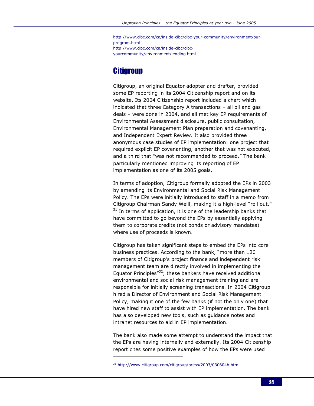http://www.cibc.com/ca/inside-cibc/cibc-your-community/environment/ourprogram.html http://www.cibc.com/ca/inside-cibc/cibcyourcommunity/environment/lending.html

## **Citigroup**

Citigroup, an original Equator adopter and drafter, provided some EP reporting in its 2004 Citizenship report and on its website. Its 2004 Citizenship report included a chart which indicated that three Category A transactions – all oil and gas deals – were done in 2004, and all met key EP requirements of Environmental Assessment disclosure, public consultation, Environmental Management Plan preparation and covenanting, and Independent Expert Review. It also provided three anonymous case studies of EP implementation: one project that required explicit EP covenanting, another that was not executed, and a third that "was not recommended to proceed." The bank particularly mentioned improving its reporting of EP implementation as one of its 2005 goals.

In terms of adoption, Citigroup formally adopted the EPs in 2003 by amending its Environmental and Social Risk Management Policy. The EPs were initially introduced to staff in a memo from Citigroup Chairman Sandy Weill, making it a high-level "roll out."  $31$  In terms of application, it is one of the leadership banks that have committed to go beyond the EPs by essentially applying them to corporate credits (not bonds or advisory mandates) where use of proceeds is known.

Citigroup has taken significant steps to embed the EPs into core business practices. According to the bank, "more than 120 members of Citigroup's project finance and independent risk management team are directly involved in implementing the Equator Principles"<sup>32</sup>; these bankers have received additional environmental and social risk management training and are responsible for initially screening transactions. In 2004 Citigroup hired a Director of Environment and Social Risk Management Policy, making it one of the few banks (if not the only one) that have hired new staff to assist with EP implementation. The bank has also developed new tools, such as guidance notes and intranet resources to aid in EP implementation.

The bank also made some attempt to understand the impact that the EPs are having internally and externally. Its 2004 Citizenship report cites some positive examples of how the EPs were used

<sup>31</sup> http://www.citigroup.com/citigroup/press/2003/030604b.htm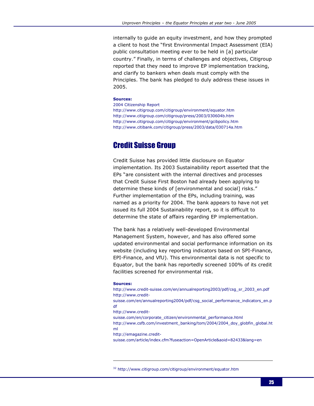internally to guide an equity investment, and how they prompted a client to host the "first Environmental Impact Assessment (EIA) public consultation meeting ever to be held in [a] particular country." Finally, in terms of challenges and objectives, Citigroup reported that they need to improve EP implementation tracking, and clarify to bankers when deals must comply with the Principles. The bank has pledged to duly address these issues in 2005.

#### Sources:

2004 Citizenship Report http://www.citigroup.com/citigroup/environment/equator.htm http://www.citigroup.com/citigroup/press/2003/030604b.htm http://www.citigroup.com/citigroup/environment/gcibpolicy.htm http://www.citibank.com/citigroup/press/2003/data/030714a.htm

## Credit Suisse Group

Credit Suisse has provided little disclosure on Equator implementation. Its 2003 Sustainability report asserted that the EPs "are consistent with the internal directives and processes that Credit Suisse First Boston had already been applying to determine these kinds of [environmental and social] risks." Further implementation of the EPs, including training, was named as a priority for 2004. The bank appears to have not yet issued its full 2004 Sustainability report, so it is difficult to determine the state of affairs regarding EP implementation.

The bank has a relatively well-developed Environmental Management System, however, and has also offered some updated environmental and social performance information on its website (including key reporting indicators based on SPI-Finance, EPI-Finance, and VfU). This environmental data is not specific to Equator, but the bank has reportedly screened 100% of its credit facilities screened for environmental risk.

#### Sources:

1

http://www.credit-suisse.com/en/annualreporting2003/pdf/csg\_sr\_2003\_en.pdf http://www.creditsuisse.com/en/annualreporting2004/pdf/csg\_social\_performance\_indicators\_en.p df http://www.creditsuisse.com/en/corporate\_citizen/environmental\_performance.html http://www.csfb.com/investment\_banking/tom/2004/2004\_doy\_globfin\_global.ht ml http://emagazine.creditsuisse.com/article/index.cfm?fuseaction=OpenArticle&aoid=82433&lang=en

<sup>32</sup> http://www.citigroup.com/citigroup/environment/equator.htm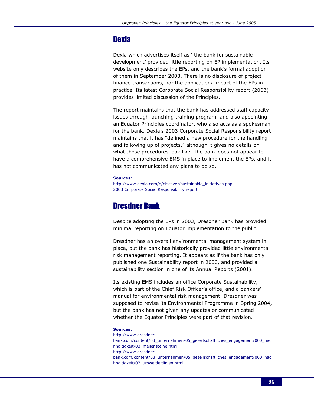## **Dexia**

Dexia which advertises itself as ' the bank for sustainable development' provided little reporting on EP implementation. Its website only describes the EPs, and the bank's formal adoption of them in September 2003. There is no disclosure of project finance transactions, nor the application/ impact of the EPs in practice. Its latest Corporate Social Responsibility report (2003) provides limited discussion of the Principles.

The report maintains that the bank has addressed staff capacity issues through launching training program, and also appointing an Equator Principles coordinator, who also acts as a spokesman for the bank. Dexia's 2003 Corporate Social Responsibility report maintains that it has "defined a new procedure for the handling and following up of projects," although it gives no details on what those procedures look like. The bank does not appear to have a comprehensive EMS in place to implement the EPs, and it has not communicated any plans to do so.

#### Sources:

http://www.dexia.com/e/discover/sustainable\_initiatives.php 2003 Corporate Social Responsibility report

## Dresdner Bank

Despite adopting the EPs in 2003, Dresdner Bank has provided minimal reporting on Equator implementation to the public.

Dresdner has an overall environmental management system in place, but the bank has historically provided little environmental risk management reporting. It appears as if the bank has only published one Sustainability report in 2000, and provided a sustainability section in one of its Annual Reports (2001).

Its existing EMS includes an office Corporate Sustainability, which is part of the Chief Risk Officer's office, and a bankers' manual for environmental risk management. Dresdner was supposed to revise its Environmental Programme in Spring 2004, but the bank has not given any updates or communicated whether the Equator Principles were part of that revision.

#### Sources:

http://www.dresdnerbank.com/content/03\_unternehmen/05\_gesellschaftliches\_engagement/000\_nac hhaltigkeit/03\_meilensteine.html http://www.dresdnerbank.com/content/03\_unternehmen/05\_gesellschaftliches\_engagement/000\_nac hhaltigkeit/02\_umweltleitlinien.html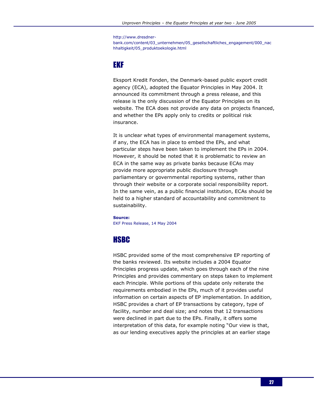http://www.dresdner-

bank.com/content/03\_unternehmen/05\_gesellschaftliches\_engagement/000\_nac hhaltigkeit/05\_produktoekologie.html

## EKF

Eksport Kredit Fonden, the Denmark-based public export credit agency (ECA), adopted the Equator Principles in May 2004. It announced its commitment through a press release, and this release is the only discussion of the Equator Principles on its website. The ECA does not provide any data on projects financed, and whether the EPs apply only to credits or political risk insurance.

It is unclear what types of environmental management systems, if any, the ECA has in place to embed the EPs, and what particular steps have been taken to implement the EPs in 2004. However, it should be noted that it is problematic to review an ECA in the same way as private banks because ECAs may provide more appropriate public disclosure through parliamentary or governmental reporting systems, rather than through their website or a corporate social responsibility report. In the same vein, as a public financial institution, ECAs should be held to a higher standard of accountability and commitment to sustainability.

#### Source:

EKF Press Release, 14 May 2004

## HSBC

HSBC provided some of the most comprehensive EP reporting of the banks reviewed. Its website includes a 2004 Equator Principles progress update, which goes through each of the nine Principles and provides commentary on steps taken to implement each Principle. While portions of this update only reiterate the requirements embodied in the EPs, much of it provides useful information on certain aspects of EP implementation. In addition, HSBC provides a chart of EP transactions by category, type of facility, number and deal size; and notes that 12 transactions were declined in part due to the EPs. Finally, it offers some interpretation of this data, for example noting "Our view is that, as our lending executives apply the principles at an earlier stage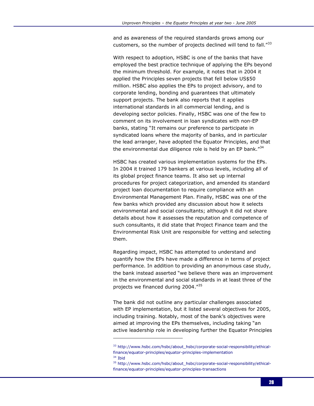and as awareness of the required standards grows among our customers, so the number of projects declined will tend to fall. $^{733}$ 

With respect to adoption, HSBC is one of the banks that have employed the best practice technique of applying the EPs beyond the minimum threshold. For example, it notes that in 2004 it applied the Principles seven projects that fell below US\$50 million. HSBC also applies the EPs to project advisory, and to corporate lending, bonding and guarantees that ultimately support projects. The bank also reports that it applies international standards in all commercial lending, and is developing sector policies. Finally, HSBC was one of the few to comment on its involvement in loan syndicates with non-EP banks, stating "It remains our preference to participate in syndicated loans where the majority of banks, and in particular the lead arranger, have adopted the Equator Principles, and that the environmental due diligence role is held by an EP bank. $^{734}$ 

HSBC has created various implementation systems for the EPs. In 2004 it trained 179 bankers at various levels, including all of its global project finance teams. It also set up internal procedures for project categorization, and amended its standard project loan documentation to require compliance with an Environmental Management Plan. Finally, HSBC was one of the few banks which provided any discussion about how it selects environmental and social consultants; although it did not share details about how it assesses the reputation and competence of such consultants, it did state that Project Finance team and the Environmental Risk Unit are responsible for vetting and selecting them.

Regarding impact, HSBC has attempted to understand and quantify how the EPs have made a difference in terms of project performance. In addition to providing an anonymous case study, the bank instead asserted "we believe there was an improvement in the environmental and social standards in at least three of the projects we financed during 2004."<sup>35</sup>

The bank did not outline any particular challenges associated with EP implementation, but it listed several objectives for 2005, including training. Notably, most of the bank's objectives were aimed at improving the EPs themselves, including taking "an active leadership role in developing further the Equator Principles

<sup>33</sup> http://www.hsbc.com/hsbc/about\_hsbc/corporate-social-responsibility/ethicalfinance/equator-principles/equator-principles-implementation <sup>34</sup> Ibid

<sup>35</sup> http://www.hsbc.com/hsbc/about\_hsbc/corporate-social-responsibility/ethicalfinance/equator-principles/equator-principles-transactions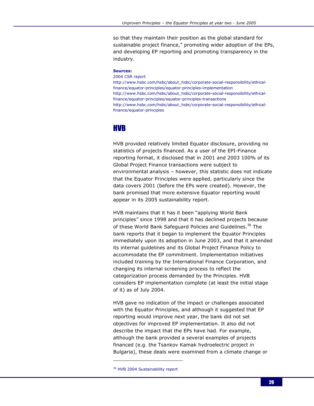so that they maintain their position as the global standard for sustainable project finance," promoting wider adoption of the EPs, and developing EP reporting and promoting transparency in the industry.

#### Sources:

2004 CSR report http://www.hsbc.com/hsbc/about\_hsbc/corporate-social-responsibility/ethicalfinance/equator-principles/equator-principles-implementation http://www.hsbc.com/hsbc/about\_hsbc/corporate-social-responsibility/ethicalfinance/equator-principles/equator-principles-transactions http://www.hsbc.com/hsbc/about\_hsbc/corporate-social-responsibility/ethicalfinance/equator-principles

## HVB

HVB provided relatively limited Equator disclosure, providing no statistics of projects financed. As a user of the EPI-Finance reporting format, it disclosed that in 2001 and 2003 100% of its Global Project Finance transactions were subject to environmental analysis – however, this statistic does not indicate that the Equator Principles were applied, particularly since the data covers 2001 (before the EPs were created). However, the bank promised that more extensive Equator reporting would appear in its 2005 sustainability report.

HVB maintains that it has it been "applying World Bank principles" since 1998 and that it has declined projects because of these World Bank Safeguard Policies and Guidelines.<sup>36</sup> The bank reports that it began to implement the Equator Principles immediately upon its adoption in June 2003, and that it amended its internal guidelines and its Global Project Finance Policy to accommodate the EP commitment. Implementation initiatives included training by the International Finance Corporation, and changing its internal screening process to reflect the categorization process demanded by the Principles. HVB considers EP implementation complete (at least the initial stage of it) as of July 2004.

HVB gave no indication of the impact or challenges associated with the Equator Principles, and although it suggested that EP reporting would improve next year, the bank did not set objectives for improved EP implementation. It also did not describe the impact that the EPs have had. For example, although the bank provided a several examples of projects financed (e.g. the Tsankov Kamak hydroelectric project in Bulgaria), these deals were examined from a climate change or

<sup>&</sup>lt;sup>36</sup> HVB 2004 Sustainability report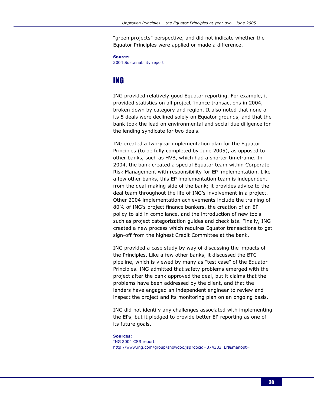"green projects" perspective, and did not indicate whether the Equator Principles were applied or made a difference.

Source: 2004 Sustainability report

## ING

ING provided relatively good Equator reporting. For example, it provided statistics on all project finance transactions in 2004, broken down by category and region. It also noted that none of its 5 deals were declined solely on Equator grounds, and that the bank took the lead on environmental and social due diligence for the lending syndicate for two deals.

ING created a two-year implementation plan for the Equator Principles (to be fully completed by June 2005), as opposed to other banks, such as HVB, which had a shorter timeframe. In 2004, the bank created a special Equator team within Corporate Risk Management with responsibility for EP implementation. Like a few other banks, this EP implementation team is independent from the deal-making side of the bank; it provides advice to the deal team throughout the life of ING's involvement in a project. Other 2004 implementation achievements include the training of 80% of ING's project finance bankers, the creation of an EP policy to aid in compliance, and the introduction of new tools such as project categorization guides and checklists. Finally, ING created a new process which requires Equator transactions to get sign-off from the highest Credit Committee at the bank.

ING provided a case study by way of discussing the impacts of the Principles. Like a few other banks, it discussed the BTC pipeline, which is viewed by many as "test case" of the Equator Principles. ING admitted that safety problems emerged with the project after the bank approved the deal, but it claims that the problems have been addressed by the client, and that the lenders have engaged an independent engineer to review and inspect the project and its monitoring plan on an ongoing basis.

ING did not identify any challenges associated with implementing the EPs, but it pledged to provide better EP reporting as one of its future goals.

Sources: ING 2004 CSR report http://www.ing.com/group/showdoc.jsp?docid=074383\_EN&menopt=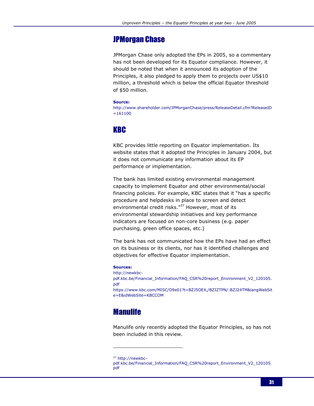## JPMorgan Chase

JPMorgan Chase only adopted the EPs in 2005, so a commentary has not been developed for its Equator compliance. However, it should be noted that when it announced its adoption of the Principles, it also pledged to apply them to projects over US\$10 million, a threshold which is below the official Equator threshold of \$50 million.

#### Source:

http://www.shareholder.com/JPMorganChase/press/ReleaseDetail.cfm?ReleaseID =161100

## KBC

KBC provides little reporting on Equator implementation. Its website states that it adopted the Principles in January 2004, but it does not communicate any information about its EP performance or implementation.

The bank has limited existing environmental management capacity to implement Equator and other environmental/social financing policies. For example, KBC states that it "has a specific procedure and helpdesks in place to screen and detect environmental credit risks."<sup>37</sup> However, most of its environmental stewardship initiatives and key performance indicators are focused on non-core business (e.g. paper purchasing, green office spaces, etc.)

The bank has not communicated how the EPs have had an effect on its business or its clients, nor has it identified challenges and objectives for effective Equator implementation.

#### Sources:

http://newkbcpdf.kbc.be/Financial\_Information/FAQ\_CSR%20report\_Environment\_V2\_120105. pdf https://www.kbc.com/MISC/D9e01?t=BZJ5OEX,/BZIZTPN/:BZJ24TM&langWebSit e=E&idWebSite=KBCCOM

## **Manulife**

Manulife only recently adopted the Equator Principles, so has not been included in this review.

<sup>37</sup> http://newkbc-

pdf.kbc.be/Financial\_Information/FAQ\_CSR%20report\_Environment\_V2\_120105. pdf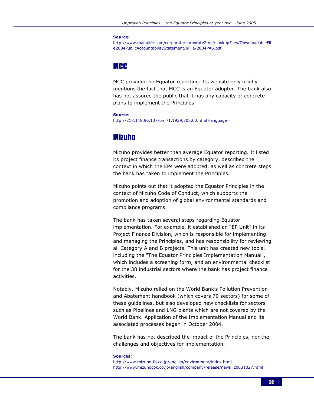#### Source:

http://www.manulife.com/corporate/corporate2.nsf/LookupFiles/DownloadableFil e2004PublicAccountabilityStatement/\$File/2004PAS.pdf

## **MCC**

MCC provided no Equator reporting. Its website only briefly mentions the fact that MCC is an Equator adopter. The bank also has not assured the public that it has any capacity or concrete plans to implement the Principles.

#### Source:

http://217.148.96.137/pmi/1,1939,305,00.html?language=

## Mizuho

Mizuho provides better than average Equator reporting. It listed its project finance transactions by category, described the context in which the EPs were adopted, as well as concrete steps the bank has taken to implement the Principles.

Mizuho points out that it adopted the Equator Principles in the context of Mizuho Code of Conduct, which supports the promotion and adoption of global environmental standards and compliance programs.

The bank has taken several steps regarding Equator implementation. For example, it established an "EP Unit" in its Project Finance Division, which is responsible for implementing and managing the Principles, and has responsibility for reviewing all Category A and B projects. This unit has created new tools, including the "The Equator Principles Implementation Manual", which includes a screening form, and an environmental checklist for the 38 industrial sectors where the bank has project finance activities.

Notably, Mizuho relied on the World Bank's Pollution Prevention and Abatement handbook (which covers 70 sectors) for some of these guidelines, but also developed new checklists for sectors such as Pipelines and LNG plants which are not covered by the World Bank. Application of the Implementation Manual and its associated processes began in October 2004.

The bank has not described the impact of the Principles, nor the challenges and objectives for implementation.

#### Sources:

http://www.mizuho-fg.co.jp/english/environment/index.html http://www.mizuhocbk.co.jp/english/company/release/news\_20031027.html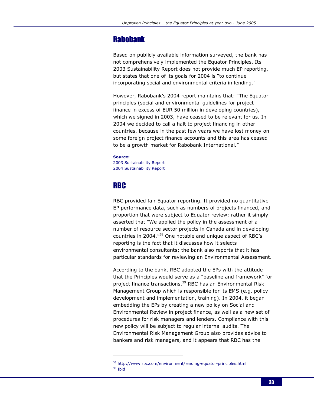## Rabobank

Based on publicly available information surveyed, the bank has not comprehensively implemented the Equator Principles. Its 2003 Sustainability Report does not provide much EP reporting, but states that one of its goals for 2004 is "to continue incorporating social and environmental criteria in lending."

However, Rabobank's 2004 report maintains that: "The Equator principles (social and environmental guidelines for project finance in excess of EUR 50 million in developing countries), which we signed in 2003, have ceased to be relevant for us. In 2004 we decided to call a halt to project financing in other countries, because in the past few years we have lost money on some foreign project finance accounts and this area has ceased to be a growth market for Rabobank International."

#### Source:

2003 Sustainability Report 2004 Sustainability Report

## RBC

-

RBC provided fair Equator reporting. It provided no quantitative EP performance data, such as numbers of projects financed, and proportion that were subject to Equator review; rather it simply asserted that "We applied the policy in the assessment of a number of resource sector projects in Canada and in developing countries in 2004."<sup>38</sup> One notable and unique aspect of RBC's reporting is the fact that it discusses how it selects environmental consultants; the bank also reports that it has particular standards for reviewing an Environmental Assessment.

According to the bank, RBC adopted the EPs with the attitude that the Principles would serve as a "baseline and framework" for project finance transactions.<sup>39</sup> RBC has an Environmental Risk Management Group which is responsible for its EMS (e.g. policy development and implementation, training). In 2004, it began embedding the EPs by creating a new policy on Social and Environmental Review in project finance, as well as a new set of procedures for risk managers and lenders. Compliance with this new policy will be subject to regular internal audits. The Environmental Risk Management Group also provides advice to bankers and risk managers, and it appears that RBC has the

<sup>38</sup> http://www.rbc.com/environment/lending-equator-principles.html <sup>39</sup> Ibid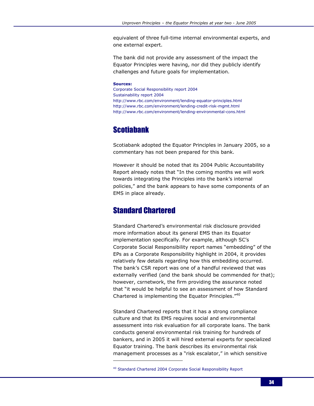equivalent of three full-time internal environmental experts, and one external expert.

The bank did not provide any assessment of the impact the Equator Principles were having, nor did they publicly identify challenges and future goals for implementation.

#### Sources:

Corporate Social Responsibility report 2004 Sustainability report 2004 http://www.rbc.com/environment/lending-equator-principles.html http://www.rbc.com/environment/lending-credit-risk-mgmt.html http://www.rbc.com/environment/lending-environmental-cons.html

## **Scotiabank**

Scotiabank adopted the Equator Principles in January 2005, so a commentary has not been prepared for this bank.

However it should be noted that its 2004 Public Accountability Report already notes that "In the coming months we will work towards integrating the Principles into the bank's internal policies," and the bank appears to have some components of an EMS in place already.

## Standard Chartered

-

Standard Chartered's environmental risk disclosure provided more information about its general EMS than its Equator implementation specifically. For example, although SC's Corporate Social Responsibility report names "embedding" of the EPs as a Corporate Responsibility highlight in 2004, it provides relatively few details regarding how this embedding occurred. The bank's CSR report was one of a handful reviewed that was externally verified (and the bank should be commended for that); however, csrnetwork, the firm providing the assurance noted that "it would be helpful to see an assessment of how Standard Chartered is implementing the Equator Principles."<sup>40</sup>

Standard Chartered reports that it has a strong compliance culture and that its EMS requires social and environmental assessment into risk evaluation for all corporate loans. The bank conducts general environmental risk training for hundreds of bankers, and in 2005 it will hired external experts for specialized Equator training. The bank describes its environmental risk management processes as a "risk escalator," in which sensitive

<sup>40</sup> Standard Chartered 2004 Corporate Social Responsibility Report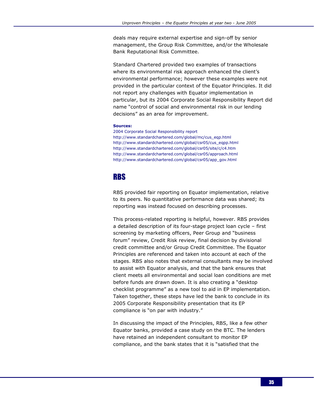deals may require external expertise and sign-off by senior management, the Group Risk Committee, and/or the Wholesale Bank Reputational Risk Committee.

Standard Chartered provided two examples of transactions where its environmental risk approach enhanced the client's environmental performance; however these examples were not provided in the particular context of the Equator Principles. It did not report any challenges with Equator implementation in particular, but its 2004 Corporate Social Responsibility Report did name "control of social and environmental risk in our lending decisions" as an area for improvement.

#### Sources:

2004 Corporate Social Responsibility report http://www.standardchartered.com/global/mc/cus\_eqp.html http://www.standardchartered.com/global/csr05/cus\_eqpp.html http://www.standardchartered.com/global/csr05/site/c/c4.htm http://www.standardchartered.com/global/csr05/approach.html http://www.standardchartered.com/global/csr05/app\_gov.html

## RBS

RBS provided fair reporting on Equator implementation, relative to its peers. No quantitative performance data was shared; its reporting was instead focused on describing processes.

This process-related reporting is helpful, however. RBS provides a detailed description of its four-stage project loan cycle – first screening by marketing officers, Peer Group and "business forum" review, Credit Risk review, final decision by divisional credit committee and/or Group Credit Committee. The Equator Principles are referenced and taken into account at each of the stages. RBS also notes that external consultants may be involved to assist with Equator analysis, and that the bank ensures that client meets all environmental and social loan conditions are met before funds are drawn down. It is also creating a "desktop checklist programme" as a new tool to aid in EP implementation. Taken together, these steps have led the bank to conclude in its 2005 Corporate Responsibility presentation that its EP compliance is "on par with industry."

In discussing the impact of the Principles, RBS, like a few other Equator banks, provided a case study on the BTC. The lenders have retained an independent consultant to monitor EP compliance, and the bank states that it is "satisfied that the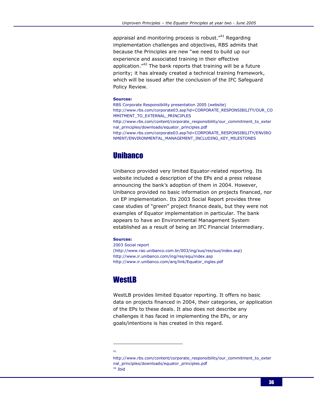appraisal and monitoring process is robust."<sup>41</sup> Regarding implementation challenges and objectives, RBS admits that because the Principles are new "we need to build up our experience and associated training in their effective application."<sup>42</sup> The bank reports that training will be a future priority; it has already created a technical training framework, which will be issued after the conclusion of the IFC Safeguard Policy Review.

#### Sources:

RBS Corporate Responsibility presentation 2005 (website) http://www.rbs.com/corporate03.asp?id=CORPORATE\_RESPONSIBILITY/OUR\_CO MMITMENT\_TO\_EXTERNAL\_PRINCIPLES http://www.rbs.com/content/corporate\_responsibility/our\_commitment\_to\_exter nal\_principles/downloads/equator\_principles.pdf http://www.rbs.com/corporate03.asp?id=CORPORATE\_RESPONSIBILITY/ENVIRO NMENT/ENVIRONMENTAL\_MANAGEMENT\_INCLUDING\_KEY\_MILESTONES

## **Unihanco**

Unibanco provided very limited Equator-related reporting. Its website included a description of the EPs and a press release announcing the bank's adoption of them in 2004. However, Unibanco provided no basic information on projects financed, nor on EP implementation. Its 2003 Social Report provides three case studies of "green" project finance deals, but they were not examples of Equator implementation in particular. The bank appears to have an Environmental Management System established as a result of being an IFC Financial Intermediary.

#### Sources:

2003 Social report (http://www.rao.unibanco.com.br/003/ing/sus/res/sus/index.asp) http://www.ir.unibanco.com/ing/res/equ/index.asp http://www.ir.unibanco.com/arq/link/Equator\_ingles.pdf

## **WestLB**

WestLB provides limited Equator reporting. It offers no basic data on projects financed in 2004, their categories, or application of the EPs to these deals. It also does not describe any challenges it has faced in implementing the EPs, or any goals/intentions is has created in this regard.

i, 41

http://www.rbs.com/content/corporate\_responsibility/our\_commitment\_to\_exter nal\_principles/downloads/equator\_principles.pdf <sup>42</sup> Ibid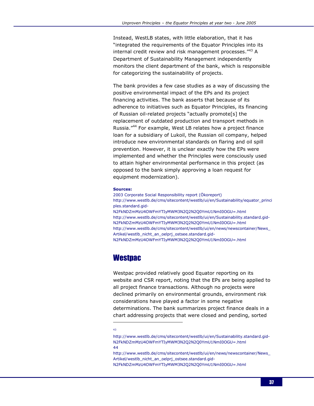Instead, WestLB states, with little elaboration, that it has "integrated the requirements of the Equator Principles into its internal credit review and risk management processes."<sup>43</sup> A Department of Sustainability Management independently monitors the client department of the bank, which is responsible for categorizing the sustainability of projects.

The bank provides a few case studies as a way of discussing the positive environmental impact of the EPs and its project financing activities. The bank asserts that because of its adherence to initiatives such as Equator Principles, its financing of Russian oil-related projects "actually promote[s] the replacement of outdated production and transport methods in Russia."<sup>44</sup> For example, West LB relates how a project finance loan for a subsidiary of Lukoil, the Russian oil company, helped introduce new environmental standards on flaring and oil spill prevention. However, it is unclear exactly how the EPs were implemented and whether the Principles were consciously used to attain higher environmental performance in this project (as opposed to the bank simply approving a loan request for equipment modernization).

#### Sources:

2003 Corporate Social Responsibility report (Ökoreport) http://www.westlb.de/cms/sitecontent/westlb/ui/en/Sustainability/equator\_princi ples.standard.gid-N2FkNDZmMzU4OWFmYTIyMWM3N2Q2N2Q0YmU1NmI0OGU=.html http://www.westlb.de/cms/sitecontent/westlb/ui/en/Sustainability.standard.gid-N2FkNDZmMzU4OWFmYTIyMWM3N2Q2N2Q0YmU1NmI0OGU=.html http://www.westlb.de/cms/sitecontent/westlb/ui/en/news/newscontainer/News\_ Artikel/westlb\_nicht\_an\_oelprj\_ostsee.standard.gid-N2FkNDZmMzU4OWFmYTIyMWM3N2Q2N2Q0YmU1NmI0OGU=.html

## **Westpac**

Westpac provided relatively good Equator reporting on its website and CSR report, noting that the EPs are being applied to all project finance transactions. Although no projects were declined primarily on environmental grounds, environment risk considerations have played a factor in some negative determinations. The bank summarizes project finance deals in a chart addressing projects that were closed and pending, sorted

<sup>-</sup>43

http://www.westlb.de/cms/sitecontent/westlb/ui/en/Sustainability.standard.gid-N2FkNDZmMzU4OWFmYTIyMWM3N2Q2N2Q0YmU1NmI0OGU=.html 44

http://www.westlb.de/cms/sitecontent/westlb/ui/en/news/newscontainer/News\_ Artikel/westlb\_nicht\_an\_oelprj\_ostsee.standard.gid-

N2FkNDZmMzU4OWFmYTIyMWM3N2Q2N2Q0YmU1NmI0OGU=.html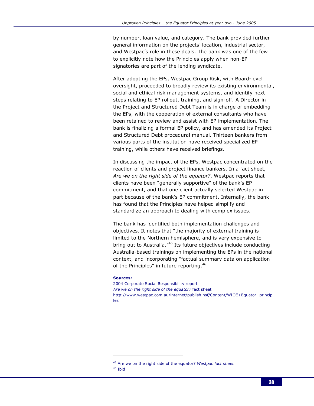by number, loan value, and category. The bank provided further general information on the projects' location, industrial sector, and Westpac's role in these deals. The bank was one of the few to explicitly note how the Principles apply when non-EP signatories are part of the lending syndicate.

After adopting the EPs, Westpac Group Risk, with Board-level oversight, proceeded to broadly review its existing environmental, social and ethical risk management systems, and identify next steps relating to EP rollout, training, and sign-off. A Director in the Project and Structured Debt Team is in charge of embedding the EPs, with the cooperation of external consultants who have been retained to review and assist with EP implementation. The bank is finalizing a formal EP policy, and has amended its Project and Structured Debt procedural manual. Thirteen bankers from various parts of the institution have received specialized EP training, while others have received briefings.

In discussing the impact of the EPs, Westpac concentrated on the reaction of clients and project finance bankers. In a fact sheet, Are we on the right side of the equator?, Westpac reports that clients have been "generally supportive" of the bank's EP commitment, and that one client actually selected Westpac in part because of the bank's EP commitment. Internally, the bank has found that the Principles have helped simplify and standardize an approach to dealing with complex issues.

The bank has identified both implementation challenges and objectives. It notes that "the majority of external training is limited to the Northern hemisphere, and is very expensive to bring out to Australia."<sup>45</sup> Its future objectives include conducting Australia-based trainings on implementing the EPs in the national context, and incorporating "factual summary data on application of the Principles" in future reporting.<sup>46</sup>

#### Sources:

2004 Corporate Social Responsibility report Are we on the right side of the equator? fact sheet http://www.westpac.com.au/internet/publish.nsf/Content/WIOE+Equator+princip les

<sup>&</sup>lt;sup>45</sup> Are we on the right side of the equator? Westpac fact sheet

<sup>46</sup> Ibid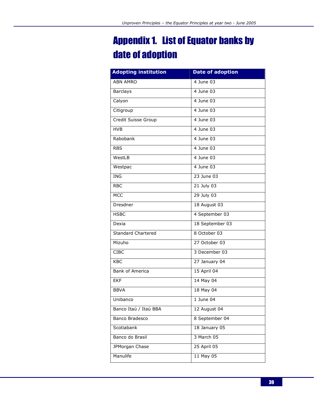## Appendix 1. List of Equator banks by date of adoption

| <b>Adopting institution</b> | Date of adoption |
|-----------------------------|------------------|
| <b>ABN AMRO</b>             | 4 June 03        |
| <b>Barclays</b>             | 4 June 03        |
| Calyon                      | 4 June 03        |
| Citigroup                   | 4 June 03        |
| Credit Suisse Group         | 4 June 03        |
| <b>HVB</b>                  | 4 June 03        |
| Rabobank                    | 4 June 03        |
| <b>RBS</b>                  | 4 June 03        |
| WestLB                      | 4 June 03        |
| Westpac                     | 4 June 03        |
| <b>ING</b>                  | 23 June 03       |
| <b>RBC</b>                  | 21 July 03       |
| <b>MCC</b>                  | 29 July 03       |
| Dresdner                    | 18 August 03     |
| <b>HSBC</b>                 | 4 September 03   |
| Dexia                       | 18 September 03  |
| Standard Chartered          | 8 October 03     |
| Mizuho                      | 27 October 03    |
| <b>CIBC</b>                 | 3 December 03    |
| <b>KBC</b>                  | 27 January 04    |
| <b>Bank of America</b>      | 15 April 04      |
| <b>EKF</b>                  | 14 May 04        |
| <b>BBVA</b>                 | 18 May 04        |
| Unibanco                    | 1 June 04        |
| Banco Itaú / Itaú BBA       | 12 August 04     |
| Banco Bradesco              | 8 September 04   |
| Scotiabank                  | 18 January 05    |
| Banco do Brasil             | 3 March 05       |
| JPMorgan Chase              | 25 April 05      |
| Manulife                    | 11 May 05        |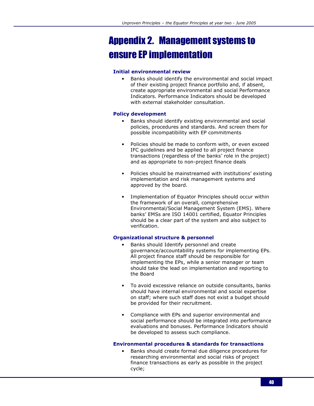## Appendix 2. Management systems to ensure EP implementation

#### Initial environmental review

• Banks should identify the environmental and social impact of their existing project finance portfolio and, if absent, create appropriate environmental and social Performance Indicators. Performance Indicators should be developed with external stakeholder consultation.

#### Policy development

- Banks should identify existing environmental and social policies, procedures and standards. And screen them for possible incompatibility with EP commitments
- Policies should be made to conform with, or even exceed IFC guidelines and be applied to all project finance transactions (regardless of the banks' role in the project) and as appropriate to non-project finance deals
- Policies should be mainstreamed with institutions' existing implementation and risk management systems and approved by the board.
- Implementation of Equator Principles should occur within the framework of an overall, comprehensive Environmental/Social Management System (EMS). Where banks' EMSs are ISO 14001 certified, Equator Principles should be a clear part of the system and also subject to verification.

#### Organizational structure & personnel

- Banks should Identify personnel and create governance/accountability systems for implementing EPs. All project finance staff should be responsible for implementing the EPs, while a senior manager or team should take the lead on implementation and reporting to the Board
- To avoid excessive reliance on outside consultants, banks should have internal environmental and social expertise on staff; where such staff does not exist a budget should be provided for their recruitment.
- Compliance with EPs and superior environmental and social performance should be integrated into performance evaluations and bonuses. Performance Indicators should be developed to assess such compliance.

#### Environmental procedures & standards for transactions

• Banks should create formal due diligence procedures for researching environmental and social risks of project finance transactions as early as possible in the project cycle;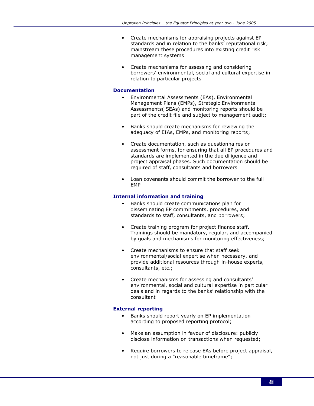- Create mechanisms for appraising projects against EP standards and in relation to the banks' reputational risk; mainstream these procedures into existing credit risk management systems
- Create mechanisms for assessing and considering borrowers' environmental, social and cultural expertise in relation to particular projects

#### Documentation

- Environmental Assessments (EAs), Environmental Management Plans (EMPs), Strategic Environmental Assessments( SEAs) and monitoring reports should be part of the credit file and subject to management audit;
- Banks should create mechanisms for reviewing the adequacy of EIAs, EMPs, and monitoring reports;
- Create documentation, such as questionnaires or assessment forms, for ensuring that all EP procedures and standards are implemented in the due diligence and project appraisal phases. Such documentation should be required of staff, consultants and borrowers
- Loan covenants should commit the borrower to the full EMP

#### Internal information and training

- Banks should create communications plan for disseminating EP commitments, procedures, and standards to staff, consultants, and borrowers;
- Create training program for project finance staff. Trainings should be mandatory, regular, and accompanied by goals and mechanisms for monitoring effectiveness;
- Create mechanisms to ensure that staff seek environmental/social expertise when necessary, and provide additional resources through in-house experts, consultants, etc.;
- Create mechanisms for assessing and consultants' environmental, social and cultural expertise in particular deals and in regards to the banks' relationship with the consultant

#### External reporting

- Banks should report yearly on EP implementation according to proposed reporting protocol;
- Make an assumption in favour of disclosure: publicly disclose information on transactions when requested;
- Require borrowers to release EAs before project appraisal, not just during a "reasonable timeframe";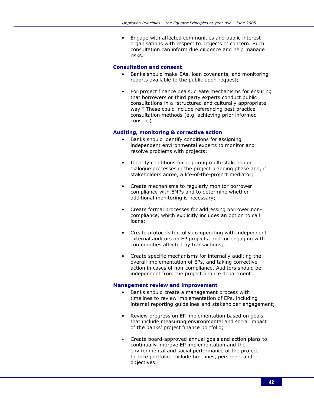• Engage with affected communities and public interest organisations with respect to projects of concern. Such consultation can inform due diligence and help manage risks.

#### Consultation and consent

- Banks should make EAs, loan covenants, and monitoring reports available to the public upon request;
- For project finance deals, create mechanisms for ensuring that borrowers or third party experts conduct public consultations in a "structured and culturally appropriate way." These could include referencing best practice consultation methods (e.g. achieving prior informed consent)

#### Auditing, monitoring & corrective action

- Banks should identify conditions for assigning independent environmental experts to monitor and resolve problems with projects;
- Identify conditions for requiring multi-stakeholder dialogue processes in the project planning phase and, if stakeholders agree, a life-of-the-project mediator;
- Create mechanisms to regularly monitor borrower compliance with EMPs and to determine whether additional monitoring is necessary;
- Create formal processes for addressing borrower noncompliance, which explicitly includes an option to call loans;
- Create protocols for fully co-operating with independent external auditors on EP projects, and for engaging with communities affected by transactions;
- Create specific mechanisms for internally auditing the overall implementation of EPs, and taking corrective action in cases of non-compliance. Auditors should be independent from the project finance department

#### Management review and improvement

- Banks should create a management process with timelines to review implementation of EPs, including internal reporting guidelines and stakeholder engagement;
- Review progress on EP implementation based on goals that include measuring environmental and social impact of the banks' project finance portfolio;
- Create board-approved annual goals and action plans to continually improve EP implementation and the environmental and social performance of the project finance portfolio. Include timelines, personnel and objectives.